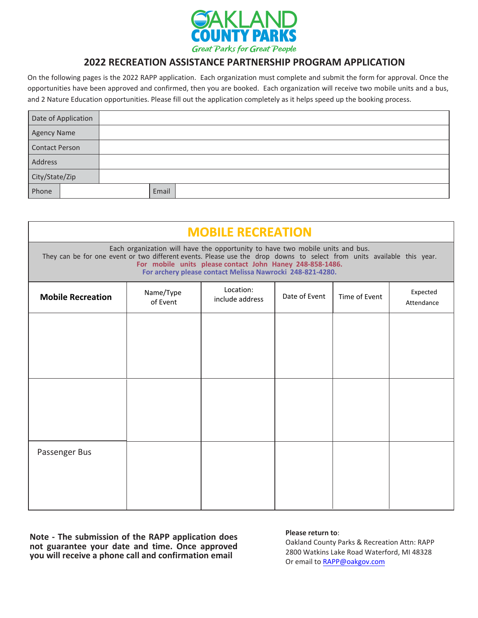

## **2022 RECREATION ASSISTANCE PARTNERSHIP PROGRAM APPLICATION**

On the following pages is the 2022 RAPP application. Each organization must complete and submit the form for approval. Once the opportunities have been approved and confirmed, then you are booked. Each organization will receive two mobile units and a bus, and 2 Nature Education opportunities. Please fill out the application completely as it helps speed up the booking process.

| Date of Application   |       |  |
|-----------------------|-------|--|
| <b>Agency Name</b>    |       |  |
| <b>Contact Person</b> |       |  |
| Address               |       |  |
| City/State/Zip        |       |  |
| Phone                 | Email |  |

| <b>MOBILE RECREATION</b>                                                                                                                                                                                                                                                                                                         |                       |                              |               |               |                        |  |
|----------------------------------------------------------------------------------------------------------------------------------------------------------------------------------------------------------------------------------------------------------------------------------------------------------------------------------|-----------------------|------------------------------|---------------|---------------|------------------------|--|
| Each organization will have the opportunity to have two mobile units and bus.<br>They can be for one event or two different events. Please use the drop downs to select from units available this year.<br>For mobile units please contact John Haney 248-858-1486.<br>For archery please contact Melissa Nawrocki 248-821-4280. |                       |                              |               |               |                        |  |
| <b>Mobile Recreation</b>                                                                                                                                                                                                                                                                                                         | Name/Type<br>of Event | Location:<br>include address | Date of Event | Time of Event | Expected<br>Attendance |  |
|                                                                                                                                                                                                                                                                                                                                  |                       |                              |               |               |                        |  |
|                                                                                                                                                                                                                                                                                                                                  |                       |                              |               |               |                        |  |
|                                                                                                                                                                                                                                                                                                                                  |                       |                              |               |               |                        |  |
|                                                                                                                                                                                                                                                                                                                                  |                       |                              |               |               |                        |  |
|                                                                                                                                                                                                                                                                                                                                  |                       |                              |               |               |                        |  |
| Passenger Bus                                                                                                                                                                                                                                                                                                                    |                       |                              |               |               |                        |  |
|                                                                                                                                                                                                                                                                                                                                  |                       |                              |               |               |                        |  |
|                                                                                                                                                                                                                                                                                                                                  |                       |                              |               |               |                        |  |

**Note - The submission of the RAPP application does not guarantee your date and time. Once approved you will receive a phone call and confirmation email**

### **Please return to**:

Oakland County Parks & Recreation Attn: RAPP 2800 Watkins Lake Road Waterford, MI 48328 Or email to RAPP@oakgov.com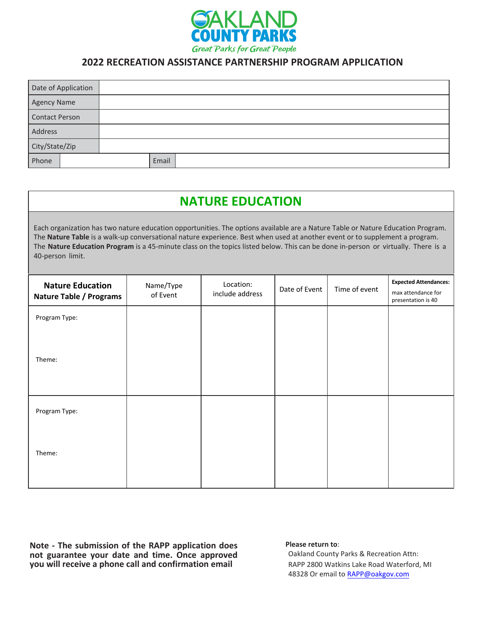

## **2022 RECREATION ASSISTANCE PARTNERSHIP PROGRAM APPLICATION**

| Date of Application   |       |  |
|-----------------------|-------|--|
| <b>Agency Name</b>    |       |  |
| <b>Contact Person</b> |       |  |
| Address               |       |  |
| City/State/Zip        |       |  |
| Phone                 | Email |  |

| <b>NATURE EDUCATION</b>                                                                                                                                                                                                                                                                                                                                                                                                 |                       |                              |               |               |                                                                          |
|-------------------------------------------------------------------------------------------------------------------------------------------------------------------------------------------------------------------------------------------------------------------------------------------------------------------------------------------------------------------------------------------------------------------------|-----------------------|------------------------------|---------------|---------------|--------------------------------------------------------------------------|
| Each organization has two nature education opportunities. The options available are a Nature Table or Nature Education Program.<br>The Nature Table is a walk-up conversational nature experience. Best when used at another event or to supplement a program.<br>The Nature Education Program is a 45-minute class on the topics listed below. This can be done in-person or virtually. There is a<br>40-person limit. |                       |                              |               |               |                                                                          |
| <b>Nature Education</b><br><b>Nature Table / Programs</b>                                                                                                                                                                                                                                                                                                                                                               | Name/Type<br>of Event | Location:<br>include address | Date of Event | Time of event | <b>Expected Attendances:</b><br>max attendance for<br>presentation is 40 |
| Program Type:<br>Theme:                                                                                                                                                                                                                                                                                                                                                                                                 |                       |                              |               |               |                                                                          |
| Program Type:                                                                                                                                                                                                                                                                                                                                                                                                           |                       |                              |               |               |                                                                          |
| Theme:                                                                                                                                                                                                                                                                                                                                                                                                                  |                       |                              |               |               |                                                                          |

**Note - The submission of the RAPP application does not guarantee your date and time. Once approved you will receive a phone call and confirmation email**

### **Please return to**:

Oakland County Parks & Recreation Attn: RAPP 2800 Watkins Lake Road Waterford, MI 48328 Or email to RAPP@oakgov.com